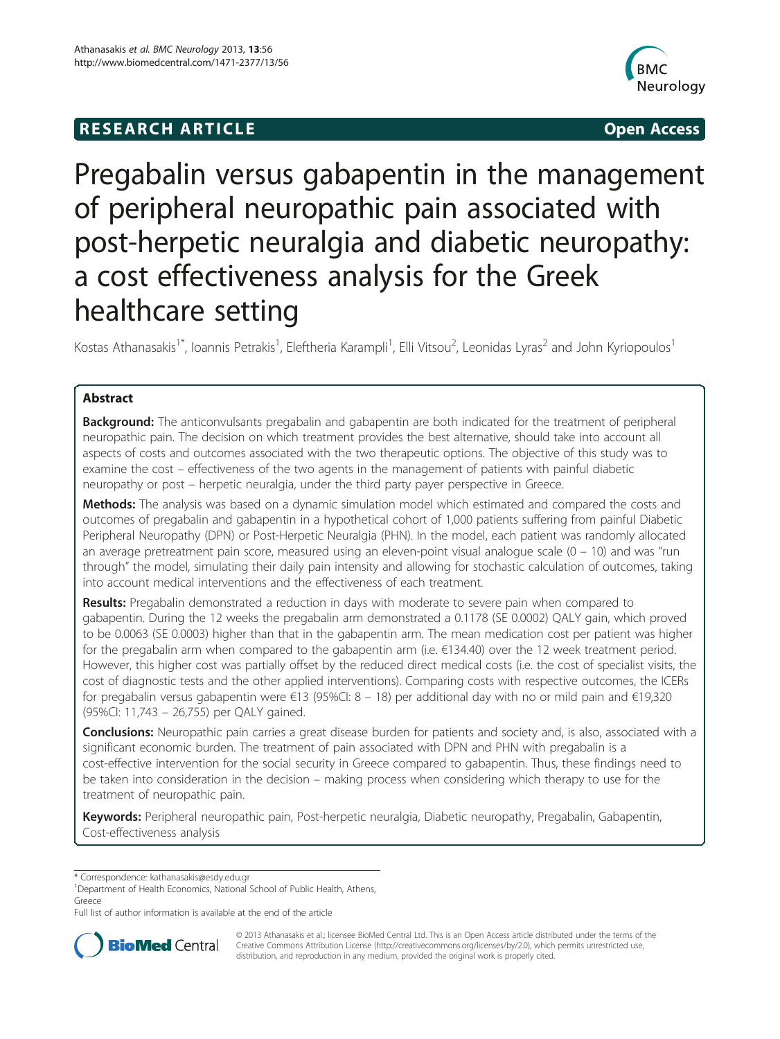## **RESEARCH ARTICLE Example 2014 Open Access**



# Pregabalin versus gabapentin in the management of peripheral neuropathic pain associated with post-herpetic neuralgia and diabetic neuropathy: a cost effectiveness analysis for the Greek healthcare setting

Kostas Athanasakis<sup>1\*</sup>, Ioannis Petrakis<sup>1</sup>, Eleftheria Karampli<sup>1</sup>, Elli Vitsou<sup>2</sup>, Leonidas Lyras<sup>2</sup> and John Kyriopoulos<sup>1</sup>

### Abstract

**Background:** The anticonvulsants pregabalin and gabapentin are both indicated for the treatment of peripheral neuropathic pain. The decision on which treatment provides the best alternative, should take into account all aspects of costs and outcomes associated with the two therapeutic options. The objective of this study was to examine the cost – effectiveness of the two agents in the management of patients with painful diabetic neuropathy or post – herpetic neuralgia, under the third party payer perspective in Greece.

Methods: The analysis was based on a dynamic simulation model which estimated and compared the costs and outcomes of pregabalin and gabapentin in a hypothetical cohort of 1,000 patients suffering from painful Diabetic Peripheral Neuropathy (DPN) or Post-Herpetic Neuralgia (PHN). In the model, each patient was randomly allocated an average pretreatment pain score, measured using an eleven-point visual analogue scale (0 – 10) and was "run through" the model, simulating their daily pain intensity and allowing for stochastic calculation of outcomes, taking into account medical interventions and the effectiveness of each treatment.

**Results:** Pregabalin demonstrated a reduction in days with moderate to severe pain when compared to gabapentin. During the 12 weeks the pregabalin arm demonstrated a 0.1178 (SE 0.0002) QALY gain, which proved to be 0.0063 (SE 0.0003) higher than that in the gabapentin arm. The mean medication cost per patient was higher for the pregabalin arm when compared to the gabapentin arm (i.e. €134.40) over the 12 week treatment period. However, this higher cost was partially offset by the reduced direct medical costs (i.e. the cost of specialist visits, the cost of diagnostic tests and the other applied interventions). Comparing costs with respective outcomes, the ICERs for pregabalin versus gabapentin were €13 (95%CI: 8 – 18) per additional day with no or mild pain and €19,320 (95%CI: 11,743 – 26,755) per QALY gained.

**Conclusions:** Neuropathic pain carries a great disease burden for patients and society and, is also, associated with a significant economic burden. The treatment of pain associated with DPN and PHN with pregabalin is a cost-effective intervention for the social security in Greece compared to gabapentin. Thus, these findings need to be taken into consideration in the decision – making process when considering which therapy to use for the treatment of neuropathic pain.

Keywords: Peripheral neuropathic pain, Post-herpetic neuralgia, Diabetic neuropathy, Pregabalin, Gabapentin, Cost-effectiveness analysis

\* Correspondence: [kathanasakis@esdy.edu.gr](mailto:kathanasakis@esdy.edu.gr) <sup>1</sup>

<sup>1</sup>Department of Health Economics, National School of Public Health, Athens, Greece

Full list of author information is available at the end of the article



© 2013 Athanasakis et al.; licensee BioMed Central Ltd. This is an Open Access article distributed under the terms of the Creative Commons Attribution License (<http://creativecommons.org/licenses/by/2.0>), which permits unrestricted use, distribution, and reproduction in any medium, provided the original work is properly cited.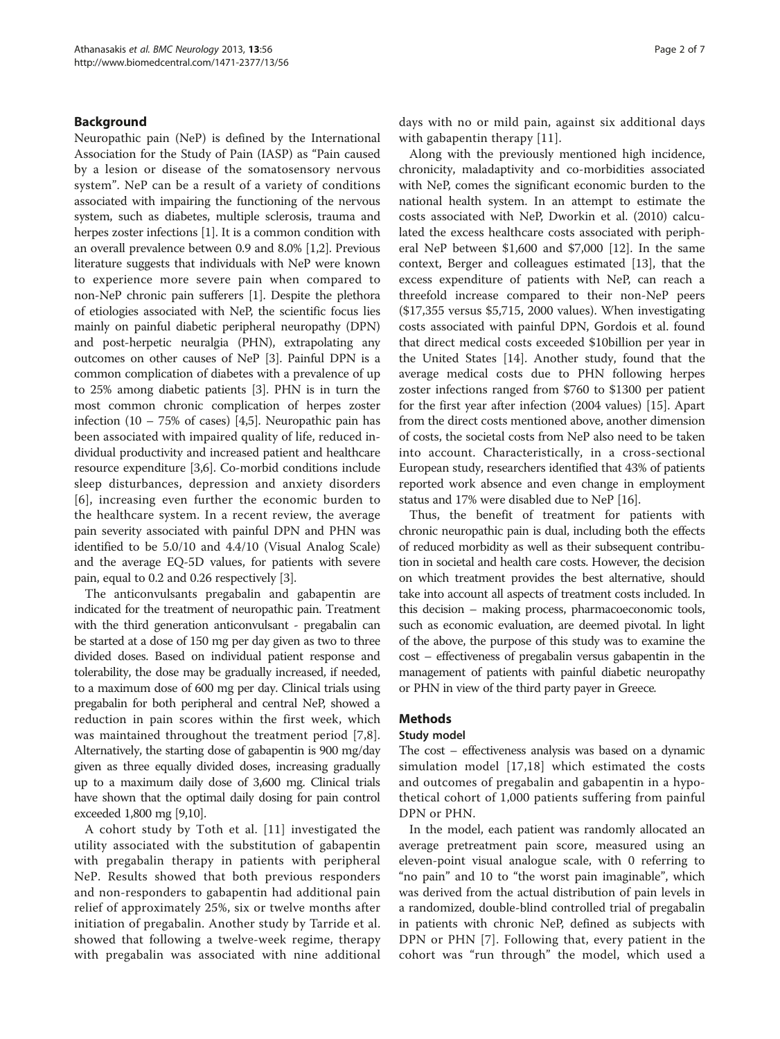#### Background

Neuropathic pain (NeP) is defined by the International Association for the Study of Pain (IASP) as "Pain caused by a lesion or disease of the somatosensory nervous system". NeP can be a result of a variety of conditions associated with impairing the functioning of the nervous system, such as diabetes, multiple sclerosis, trauma and herpes zoster infections [[1](#page-6-0)]. It is a common condition with an overall prevalence between 0.9 and 8.0% [[1,2](#page-6-0)]. Previous literature suggests that individuals with NeP were known to experience more severe pain when compared to non-NeP chronic pain sufferers [\[1\]](#page-6-0). Despite the plethora of etiologies associated with NeP, the scientific focus lies mainly on painful diabetic peripheral neuropathy (DPN) and post-herpetic neuralgia (PHN), extrapolating any outcomes on other causes of NeP [[3](#page-6-0)]. Painful DPN is a common complication of diabetes with a prevalence of up to 25% among diabetic patients [\[3](#page-6-0)]. PHN is in turn the most common chronic complication of herpes zoster infection  $(10 - 75\% \text{ of cases})$  [\[4,5](#page-6-0)]. Neuropathic pain has been associated with impaired quality of life, reduced individual productivity and increased patient and healthcare resource expenditure [\[3,6\]](#page-6-0). Co-morbid conditions include sleep disturbances, depression and anxiety disorders [[6](#page-6-0)], increasing even further the economic burden to the healthcare system. In a recent review, the average pain severity associated with painful DPN and PHN was identified to be 5.0/10 and 4.4/10 (Visual Analog Scale) and the average EQ-5D values, for patients with severe pain, equal to 0.2 and 0.26 respectively [[3](#page-6-0)].

The anticonvulsants pregabalin and gabapentin are indicated for the treatment of neuropathic pain. Treatment with the third generation anticonvulsant - pregabalin can be started at a dose of 150 mg per day given as two to three divided doses. Based on individual patient response and tolerability, the dose may be gradually increased, if needed, to a maximum dose of 600 mg per day. Clinical trials using pregabalin for both peripheral and central NeP, showed a reduction in pain scores within the first week, which was maintained throughout the treatment period [[7,8](#page-6-0)]. Alternatively, the starting dose of gabapentin is 900 mg/day given as three equally divided doses, increasing gradually up to a maximum daily dose of 3,600 mg. Clinical trials have shown that the optimal daily dosing for pain control exceeded 1,800 mg [[9,10\]](#page-6-0).

A cohort study by Toth et al. [[11\]](#page-6-0) investigated the utility associated with the substitution of gabapentin with pregabalin therapy in patients with peripheral NeP. Results showed that both previous responders and non-responders to gabapentin had additional pain relief of approximately 25%, six or twelve months after initiation of pregabalin. Another study by Tarride et al. showed that following a twelve-week regime, therapy with pregabalin was associated with nine additional

days with no or mild pain, against six additional days with gabapentin therapy [[11](#page-6-0)].

Along with the previously mentioned high incidence, chronicity, maladaptivity and co-morbidities associated with NeP, comes the significant economic burden to the national health system. In an attempt to estimate the costs associated with NeP, Dworkin et al. (2010) calculated the excess healthcare costs associated with peripheral NeP between \$1,600 and \$7,000 [\[12](#page-6-0)]. In the same context, Berger and colleagues estimated [[13](#page-6-0)], that the excess expenditure of patients with NeP, can reach a threefold increase compared to their non-NeP peers (\$17,355 versus \$5,715, 2000 values). When investigating costs associated with painful DPN, Gordois et al. found that direct medical costs exceeded \$10billion per year in the United States [[14](#page-6-0)]. Another study, found that the average medical costs due to PHN following herpes zoster infections ranged from \$760 to \$1300 per patient for the first year after infection (2004 values) [[15\]](#page-6-0). Apart from the direct costs mentioned above, another dimension of costs, the societal costs from NeP also need to be taken into account. Characteristically, in a cross-sectional European study, researchers identified that 43% of patients reported work absence and even change in employment status and 17% were disabled due to NeP [[16](#page-6-0)].

Thus, the benefit of treatment for patients with chronic neuropathic pain is dual, including both the effects of reduced morbidity as well as their subsequent contribution in societal and health care costs. However, the decision on which treatment provides the best alternative, should take into account all aspects of treatment costs included. In this decision – making process, pharmacoeconomic tools, such as economic evaluation, are deemed pivotal. In light of the above, the purpose of this study was to examine the cost – effectiveness of pregabalin versus gabapentin in the management of patients with painful diabetic neuropathy or PHN in view of the third party payer in Greece.

#### Methods

#### Study model

The cost – effectiveness analysis was based on a dynamic simulation model [[17](#page-6-0),[18\]](#page-6-0) which estimated the costs and outcomes of pregabalin and gabapentin in a hypothetical cohort of 1,000 patients suffering from painful DPN or PHN.

In the model, each patient was randomly allocated an average pretreatment pain score, measured using an eleven-point visual analogue scale, with 0 referring to "no pain" and 10 to "the worst pain imaginable", which was derived from the actual distribution of pain levels in a randomized, double-blind controlled trial of pregabalin in patients with chronic NeP, defined as subjects with DPN or PHN [\[7\]](#page-6-0). Following that, every patient in the cohort was "run through" the model, which used a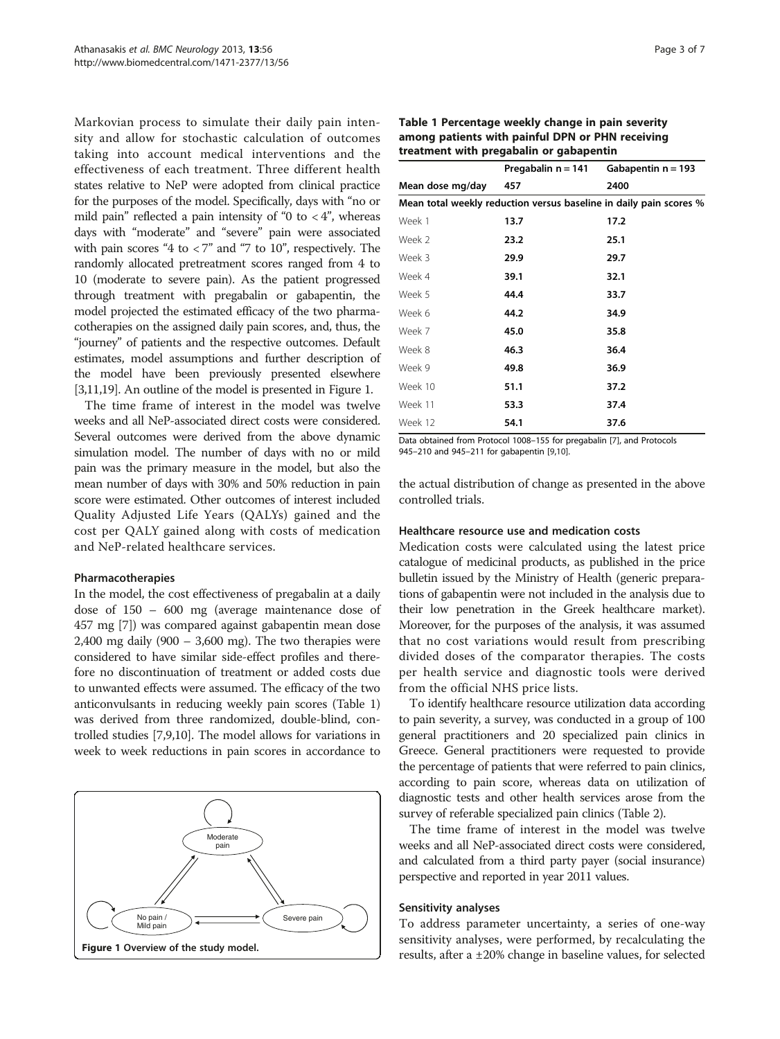Markovian process to simulate their daily pain intensity and allow for stochastic calculation of outcomes taking into account medical interventions and the effectiveness of each treatment. Three different health states relative to NeP were adopted from clinical practice for the purposes of the model. Specifically, days with "no or mild pain" reflected a pain intensity of "0 to  $\langle 4$ ", whereas days with "moderate" and "severe" pain were associated with pain scores "4 to  $<$  7" and "7 to 10", respectively. The randomly allocated pretreatment scores ranged from 4 to 10 (moderate to severe pain). As the patient progressed through treatment with pregabalin or gabapentin, the model projected the estimated efficacy of the two pharmacotherapies on the assigned daily pain scores, and, thus, the "journey" of patients and the respective outcomes. Default estimates, model assumptions and further description of the model have been previously presented elsewhere [[3,11,19](#page-6-0)]. An outline of the model is presented in Figure 1.

The time frame of interest in the model was twelve weeks and all NeP-associated direct costs were considered. Several outcomes were derived from the above dynamic simulation model. The number of days with no or mild pain was the primary measure in the model, but also the mean number of days with 30% and 50% reduction in pain score were estimated. Other outcomes of interest included Quality Adjusted Life Years (QALYs) gained and the cost per QALY gained along with costs of medication and NeP-related healthcare services.

#### Pharmacotherapies

In the model, the cost effectiveness of pregabalin at a daily dose of 150 – 600 mg (average maintenance dose of 457 mg [\[7](#page-6-0)]) was compared against gabapentin mean dose 2,400 mg daily (900 – 3,600 mg). The two therapies were considered to have similar side-effect profiles and therefore no discontinuation of treatment or added costs due to unwanted effects were assumed. The efficacy of the two anticonvulsants in reducing weekly pain scores (Table 1) was derived from three randomized, double-blind, controlled studies [[7,9,10](#page-6-0)]. The model allows for variations in week to week reductions in pain scores in accordance to



| Table 1 Percentage weekly change in pain severity |  |  |  |  |  |
|---------------------------------------------------|--|--|--|--|--|
| among patients with painful DPN or PHN receiving  |  |  |  |  |  |
| treatment with pregabalin or gabapentin           |  |  |  |  |  |

|                                                                    | Pregabalin n = 141 | Gabapentin $n = 193$ |  |  |  |  |  |  |
|--------------------------------------------------------------------|--------------------|----------------------|--|--|--|--|--|--|
| Mean dose mg/day                                                   | 457                | 2400                 |  |  |  |  |  |  |
| Mean total weekly reduction versus baseline in daily pain scores % |                    |                      |  |  |  |  |  |  |
| Week 1                                                             | 13.7               | 17.2                 |  |  |  |  |  |  |
| Week 2                                                             | 23.2               | 25.1                 |  |  |  |  |  |  |
| Week 3                                                             | 29.9               | 29.7                 |  |  |  |  |  |  |
| Week 4                                                             | 39.1               | 32.1                 |  |  |  |  |  |  |
| Week 5                                                             | 44.4               | 33.7                 |  |  |  |  |  |  |
| Week 6                                                             | 44.2               | 34.9                 |  |  |  |  |  |  |
| Week 7                                                             | 45.0               | 35.8                 |  |  |  |  |  |  |
| Week 8                                                             | 46.3               | 36.4                 |  |  |  |  |  |  |
| Week 9                                                             | 49.8               | 36.9                 |  |  |  |  |  |  |
| Week 10                                                            | 51.1               | 37.2                 |  |  |  |  |  |  |
| Week 11                                                            | 53.3               | 37.4                 |  |  |  |  |  |  |
| Week 12                                                            | 54.1               | 37.6                 |  |  |  |  |  |  |

Data obtained from Protocol 1008–155 for pregabalin [[7](#page-6-0)], and Protocols 945–210 and 945–211 for gabapentin [\[9,10](#page-6-0)].

the actual distribution of change as presented in the above controlled trials.

#### Healthcare resource use and medication costs

Medication costs were calculated using the latest price catalogue of medicinal products, as published in the price bulletin issued by the Ministry of Health (generic preparations of gabapentin were not included in the analysis due to their low penetration in the Greek healthcare market). Moreover, for the purposes of the analysis, it was assumed that no cost variations would result from prescribing divided doses of the comparator therapies. The costs per health service and diagnostic tools were derived from the official NHS price lists.

To identify healthcare resource utilization data according to pain severity, a survey, was conducted in a group of 100 general practitioners and 20 specialized pain clinics in Greece. General practitioners were requested to provide the percentage of patients that were referred to pain clinics, according to pain score, whereas data on utilization of diagnostic tests and other health services arose from the survey of referable specialized pain clinics (Table [2\)](#page-3-0).

The time frame of interest in the model was twelve weeks and all NeP-associated direct costs were considered, and calculated from a third party payer (social insurance) perspective and reported in year 2011 values.

#### Sensitivity analyses

To address parameter uncertainty, a series of one-way sensitivity analyses, were performed, by recalculating the results, after a ±20% change in baseline values, for selected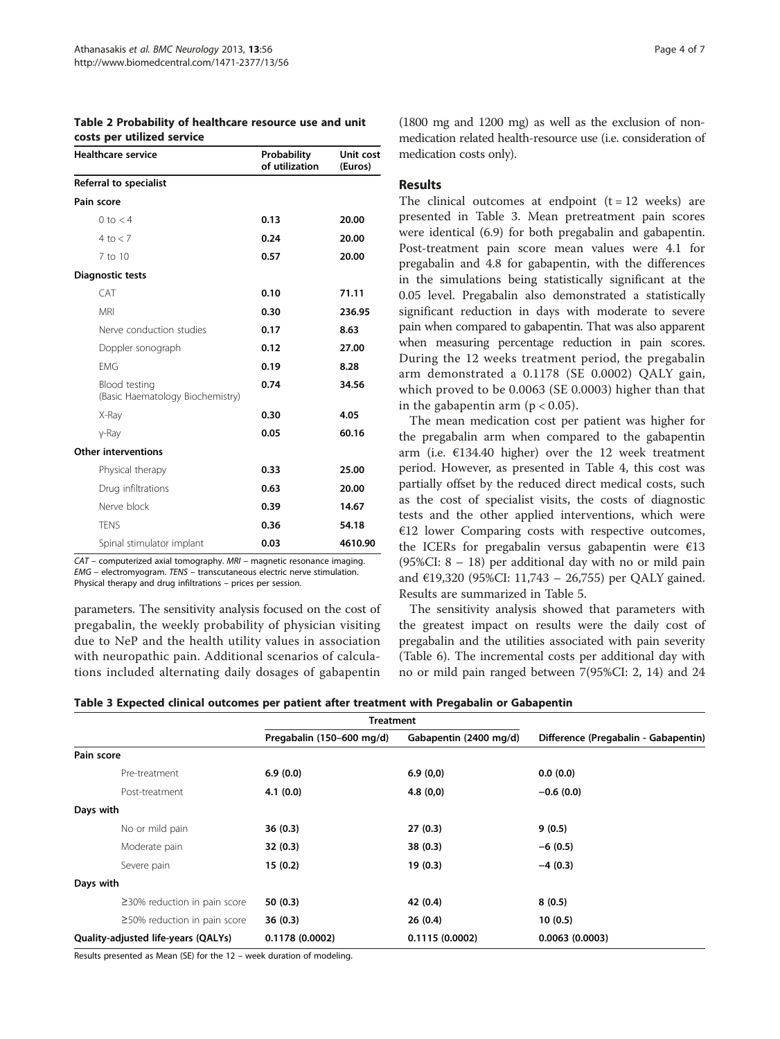| <b>Healthcare service</b>                         | Probability<br>of utilization | Unit cost<br>(Euros) |  |
|---------------------------------------------------|-------------------------------|----------------------|--|
| Referral to specialist                            |                               |                      |  |
| Pain score                                        |                               |                      |  |
| $0$ to $<$ 4                                      | 0.13                          | 20.00                |  |
| 4 to $< 7$                                        | 0.24                          | 20.00                |  |
| $7$ to $10$                                       | 0.57                          | 20.00                |  |
| <b>Diagnostic tests</b>                           |                               |                      |  |
| CAT                                               | 0.10                          | 71.11                |  |
| <b>MRI</b>                                        | 0.30                          | 236.95               |  |
| Nerve conduction studies                          | 0.17                          | 8.63                 |  |
| Doppler sonograph                                 | 0.12                          | 27.00                |  |
| <b>FMG</b>                                        | 0.19                          | 8.28                 |  |
| Blood testing<br>(Basic Haematology Biochemistry) | 0.74                          | 34.56                |  |
| X-Ray                                             | 0.30                          | 4.05                 |  |
| $v$ -Ray                                          | 0.05                          | 60.16                |  |
| <b>Other interventions</b>                        |                               |                      |  |
| Physical therapy                                  | 0.33                          | 25.00                |  |
| Drug infiltrations                                | 0.63                          | 20.00                |  |
| Nerve block                                       | 0.39                          | 14.67                |  |
| <b>TENS</b>                                       | 0.36                          | 54.18                |  |
| Spinal stimulator implant                         | 0.03                          | 4610.90              |  |

<span id="page-3-0"></span>Table 2 Probability of healthcare resource use and unit costs per utilized service

CAT – computerized axial tomography. MRI – magnetic resonance imaging. EMG – electromyogram. TENS – transcutaneous electric nerve stimulation. Physical therapy and drug infiltrations – prices per session.

parameters. The sensitivity analysis focused on the cost of pregabalin, the weekly probability of physician visiting due to NeP and the health utility values in association with neuropathic pain. Additional scenarios of calculations included alternating daily dosages of gabapentin (1800 mg and 1200 mg) as well as the exclusion of nonmedication related health-resource use (i.e. consideration of medication costs only).

#### Results

The clinical outcomes at endpoint  $(t = 12$  weeks) are presented in Table 3. Mean pretreatment pain scores were identical (6.9) for both pregabalin and gabapentin. Post-treatment pain score mean values were 4.1 for pregabalin and 4.8 for gabapentin, with the differences in the simulations being statistically significant at the 0.05 level. Pregabalin also demonstrated a statistically significant reduction in days with moderate to severe pain when compared to gabapentin. That was also apparent when measuring percentage reduction in pain scores. During the 12 weeks treatment period, the pregabalin arm demonstrated a 0.1178 (SE 0.0002) QALY gain, which proved to be 0.0063 (SE 0.0003) higher than that in the gabapentin arm ( $p < 0.05$ ).

The mean medication cost per patient was higher for the pregabalin arm when compared to the gabapentin arm (i.e.  $£134.40$  higher) over the 12 week treatment period. However, as presented in Table [4](#page-4-0), this cost was partially offset by the reduced direct medical costs, such as the cost of specialist visits, the costs of diagnostic tests and the other applied interventions, which were €12 lower Comparing costs with respective outcomes, the ICERs for pregabalin versus gabapentin were  $E13$ (95%CI: 8 – 18) per additional day with no or mild pain and €19,320 (95%CI: 11,743 – 26,755) per QALY gained. Results are summarized in Table [5](#page-4-0).

The sensitivity analysis showed that parameters with the greatest impact on results were the daily cost of pregabalin and the utilities associated with pain severity (Table [6](#page-5-0)). The incremental costs per additional day with no or mild pain ranged between 7(95%CI: 2, 14) and 24

| Table 3 Expected clinical outcomes per patient after treatment with Pregabalin or Gabapentin |  |  |  |  |  |  |  |
|----------------------------------------------------------------------------------------------|--|--|--|--|--|--|--|
|----------------------------------------------------------------------------------------------|--|--|--|--|--|--|--|

|                                     | <b>Treatment</b>          |                        |                                      |
|-------------------------------------|---------------------------|------------------------|--------------------------------------|
|                                     | Pregabalin (150-600 mg/d) | Gabapentin (2400 mg/d) | Difference (Pregabalin - Gabapentin) |
| Pain score                          |                           |                        |                                      |
| Pre-treatment                       | 6.9(0.0)                  | 6.9(0,0)               | 0.0(0.0)                             |
| Post-treatment                      | 4.1(0.0)                  | 4.8(0,0)               | $-0.6(0.0)$                          |
| Days with                           |                           |                        |                                      |
| No or mild pain                     | 36(0.3)                   | 27(0.3)                | 9(0.5)                               |
| Moderate pain                       | 32(0.3)                   | 38(0.3)                | $-6(0.5)$                            |
| Severe pain                         | 15(0.2)                   | 19(0.3)                | $-4(0.3)$                            |
| Days with                           |                           |                        |                                      |
| $\geq$ 30% reduction in pain score  | 50(0.3)                   | 42 (0.4)               | 8(0.5)                               |
| $\geq$ 50% reduction in pain score  | 36(0.3)                   | 26(0.4)                | 10(0.5)                              |
| Quality-adjusted life-years (QALYs) | 0.1178(0.0002)            | 0.1115(0.0002)         | 0.0063(0.0003)                       |

Results presented as Mean (SE) for the 12 – week duration of modeling.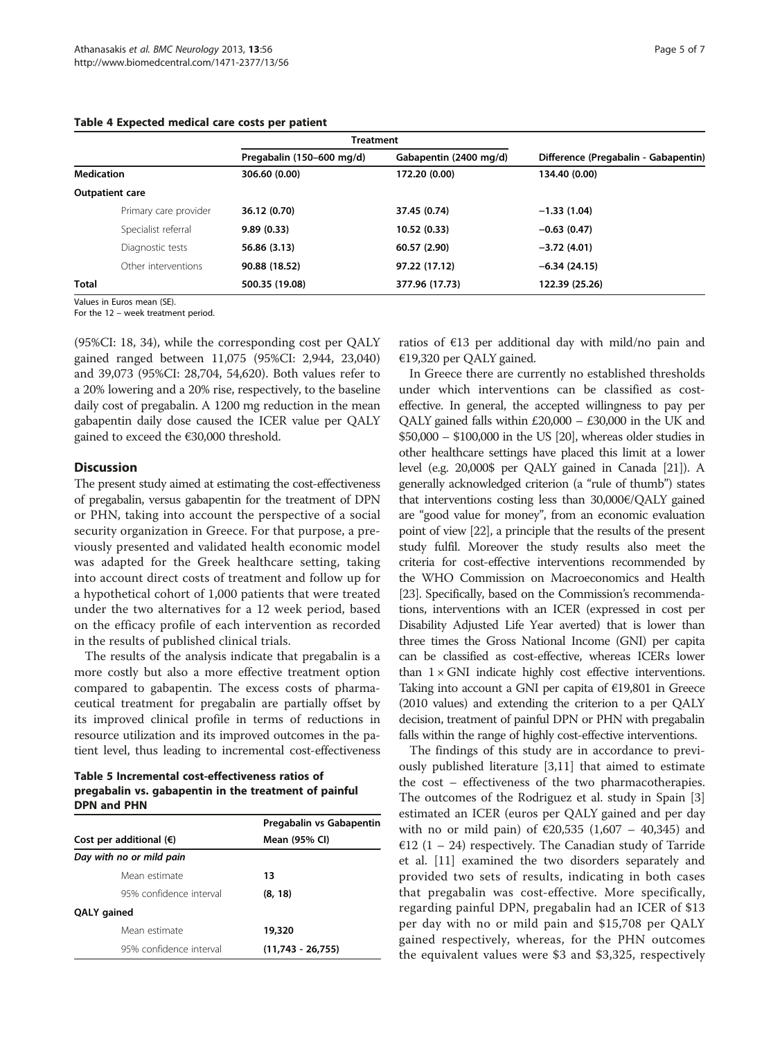#### <span id="page-4-0"></span>Table 4 Expected medical care costs per patient

|                   |                        | <b>Treatment</b>          |                        |                                      |
|-------------------|------------------------|---------------------------|------------------------|--------------------------------------|
|                   |                        | Pregabalin (150-600 mg/d) | Gabapentin (2400 mg/d) | Difference (Pregabalin - Gabapentin) |
| <b>Medication</b> |                        | 306.60 (0.00)             | 172.20 (0.00)          | 134.40 (0.00)                        |
|                   | <b>Outpatient care</b> |                           |                        |                                      |
|                   | Primary care provider  | 36.12 (0.70)              | 37.45 (0.74)           | $-1.33(1.04)$                        |
|                   | Specialist referral    | 9.89(0.33)                | 10.52 (0.33)           | $-0.63(0.47)$                        |
|                   | Diagnostic tests       | 56.86 (3.13)              | 60.57 (2.90)           | $-3.72(4.01)$                        |
|                   | Other interventions    | 90.88 (18.52)             | 97.22 (17.12)          | $-6.34(24.15)$                       |
| <b>Total</b>      |                        | 500.35 (19.08)            | 377.96 (17.73)         | 122.39 (25.26)                       |

Values in Euros mean (SE).

For the 12 – week treatment period.

(95%CI: 18, 34), while the corresponding cost per QALY gained ranged between 11,075 (95%CI: 2,944, 23,040) and 39,073 (95%CI: 28,704, 54,620). Both values refer to a 20% lowering and a 20% rise, respectively, to the baseline daily cost of pregabalin. A 1200 mg reduction in the mean gabapentin daily dose caused the ICER value per QALY gained to exceed the €30,000 threshold.

#### **Discussion**

The present study aimed at estimating the cost-effectiveness of pregabalin, versus gabapentin for the treatment of DPN or PHN, taking into account the perspective of a social security organization in Greece. For that purpose, a previously presented and validated health economic model was adapted for the Greek healthcare setting, taking into account direct costs of treatment and follow up for a hypothetical cohort of 1,000 patients that were treated under the two alternatives for a 12 week period, based on the efficacy profile of each intervention as recorded in the results of published clinical trials.

The results of the analysis indicate that pregabalin is a more costly but also a more effective treatment option compared to gabapentin. The excess costs of pharmaceutical treatment for pregabalin are partially offset by its improved clinical profile in terms of reductions in resource utilization and its improved outcomes in the patient level, thus leading to incremental cost-effectiveness

Table 5 Incremental cost-effectiveness ratios of pregabalin vs. gabapentin in the treatment of painful DPN and PHN

|                                  | Pregabalin vs Gabapentin |
|----------------------------------|--------------------------|
| Cost per additional $(\epsilon)$ | Mean (95% CI)            |
| Day with no or mild pain         |                          |
| Mean estimate                    | 13                       |
| 95% confidence interval          | (8, 18)                  |
| QALY gained                      |                          |
| Mean estimate                    | 19,320                   |
| 95% confidence interval          | $(11.743 - 26.755)$      |

ratios of  $E13$  per additional day with mild/no pain and €19,320 per QALY gained.

In Greece there are currently no established thresholds under which interventions can be classified as costeffective. In general, the accepted willingness to pay per QALY gained falls within  $£20,000 - £30,000$  in the UK and \$50,000 – \$100,000 in the US [\[20](#page-6-0)], whereas older studies in other healthcare settings have placed this limit at a lower level (e.g. 20,000\$ per QALY gained in Canada [\[21\]](#page-6-0)). A generally acknowledged criterion (a "rule of thumb") states that interventions costing less than 30,000€/QALY gained are "good value for money", from an economic evaluation point of view [\[22](#page-6-0)], a principle that the results of the present study fulfil. Moreover the study results also meet the criteria for cost-effective interventions recommended by the WHO Commission on Macroeconomics and Health [[23](#page-6-0)]. Specifically, based on the Commission's recommendations, interventions with an ICER (expressed in cost per Disability Adjusted Life Year averted) that is lower than three times the Gross National Income (GNI) per capita can be classified as cost-effective, whereas ICERs lower than  $1 \times$  GNI indicate highly cost effective interventions. Taking into account a GNI per capita of €19,801 in Greece (2010 values) and extending the criterion to a per QALY decision, treatment of painful DPN or PHN with pregabalin falls within the range of highly cost-effective interventions.

The findings of this study are in accordance to previously published literature [[3](#page-6-0),[11](#page-6-0)] that aimed to estimate the cost – effectiveness of the two pharmacotherapies. The outcomes of the Rodriguez et al. study in Spain [\[3](#page-6-0)] estimated an ICER (euros per QALY gained and per day with no or mild pain) of €20,535 (1,607 – 40,345) and €12 (1 – 24) respectively. The Canadian study of Tarride et al. [[11\]](#page-6-0) examined the two disorders separately and provided two sets of results, indicating in both cases that pregabalin was cost-effective. More specifically, regarding painful DPN, pregabalin had an ICER of \$13 per day with no or mild pain and \$15,708 per QALY gained respectively, whereas, for the PHN outcomes the equivalent values were \$3 and \$3,325, respectively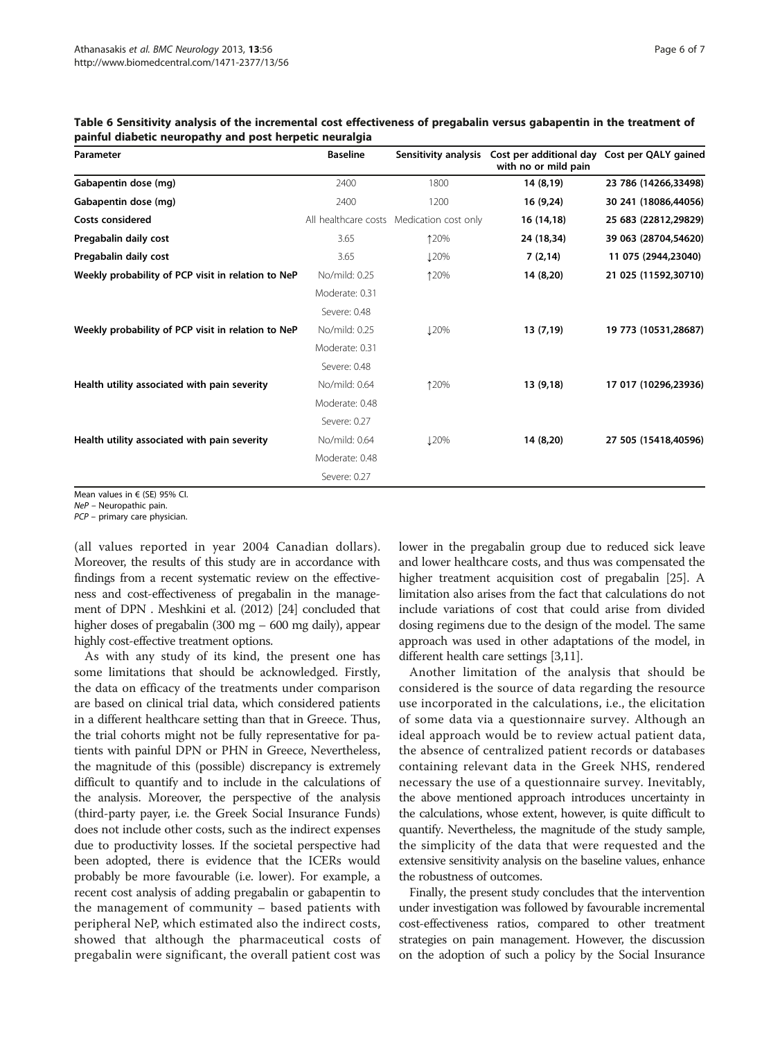| Parameter                                          | <b>Baseline</b> | Sensitivity analysis                      | Cost per additional day Cost per QALY gained<br>with no or mild pain |                      |
|----------------------------------------------------|-----------------|-------------------------------------------|----------------------------------------------------------------------|----------------------|
| Gabapentin dose (mg)                               | 2400            | 1800                                      | 14 (8,19)                                                            | 23 786 (14266,33498) |
| Gabapentin dose (mg)                               | 2400            | 1200                                      | 16 (9,24)                                                            | 30 241 (18086,44056) |
| <b>Costs considered</b>                            |                 | All healthcare costs Medication cost only | 16 (14,18)                                                           | 25 683 (22812,29829) |
| Pregabalin daily cost                              | 3.65            | 120%                                      | 24 (18,34)                                                           | 39 063 (28704,54620) |
| Pregabalin daily cost                              | 3.65            | <b>120%</b>                               | 7(2,14)                                                              | 11 075 (2944,23040)  |
| Weekly probability of PCP visit in relation to NeP | No/mild: 0.25   | 120%                                      | 14 (8,20)                                                            | 21 025 (11592,30710) |
|                                                    | Moderate: 0.31  |                                           |                                                                      |                      |
|                                                    | Severe: 0.48    |                                           |                                                                      |                      |
| Weekly probability of PCP visit in relation to NeP | No/mild: 0.25   | <b>120%</b>                               | 13 (7,19)                                                            | 19 773 (10531,28687) |
|                                                    | Moderate: 0.31  |                                           |                                                                      |                      |
|                                                    | Severe: 0.48    |                                           |                                                                      |                      |
| Health utility associated with pain severity       | No/mild: 0.64   | 120%                                      | 13 (9,18)                                                            | 17 017 (10296,23936) |
|                                                    | Moderate: 0.48  |                                           |                                                                      |                      |
|                                                    | Severe: 0.27    |                                           |                                                                      |                      |
| Health utility associated with pain severity       | No/mild: 0.64   | <b>120%</b>                               | 14 (8,20)                                                            | 27 505 (15418,40596) |
|                                                    | Moderate: 0.48  |                                           |                                                                      |                      |
|                                                    | Severe: 0.27    |                                           |                                                                      |                      |

<span id="page-5-0"></span>Table 6 Sensitivity analysis of the incremental cost effectiveness of pregabalin versus gabapentin in the treatment of painful diabetic neuropathy and post herpetic neuralgia

Mean values in € (SE) 95% CI.

NeP – Neuropathic pain.

PCP – primary care physician.

(all values reported in year 2004 Canadian dollars). Moreover, the results of this study are in accordance with findings from a recent systematic review on the effectiveness and cost-effectiveness of pregabalin in the management of DPN . Meshkini et al. (2012) [\[24\]](#page-6-0) concluded that higher doses of pregabalin (300 mg – 600 mg daily), appear highly cost-effective treatment options.

As with any study of its kind, the present one has some limitations that should be acknowledged. Firstly, the data on efficacy of the treatments under comparison are based on clinical trial data, which considered patients in a different healthcare setting than that in Greece. Thus, the trial cohorts might not be fully representative for patients with painful DPN or PHN in Greece, Nevertheless, the magnitude of this (possible) discrepancy is extremely difficult to quantify and to include in the calculations of the analysis. Moreover, the perspective of the analysis (third-party payer, i.e. the Greek Social Insurance Funds) does not include other costs, such as the indirect expenses due to productivity losses. If the societal perspective had been adopted, there is evidence that the ICERs would probably be more favourable (i.e. lower). For example, a recent cost analysis of adding pregabalin or gabapentin to the management of community – based patients with peripheral NeP, which estimated also the indirect costs, showed that although the pharmaceutical costs of pregabalin were significant, the overall patient cost was lower in the pregabalin group due to reduced sick leave and lower healthcare costs, and thus was compensated the higher treatment acquisition cost of pregabalin [[25](#page-6-0)]. A limitation also arises from the fact that calculations do not include variations of cost that could arise from divided dosing regimens due to the design of the model. The same approach was used in other adaptations of the model, in different health care settings [[3,11](#page-6-0)].

Another limitation of the analysis that should be considered is the source of data regarding the resource use incorporated in the calculations, i.e., the elicitation of some data via a questionnaire survey. Although an ideal approach would be to review actual patient data, the absence of centralized patient records or databases containing relevant data in the Greek NHS, rendered necessary the use of a questionnaire survey. Inevitably, the above mentioned approach introduces uncertainty in the calculations, whose extent, however, is quite difficult to quantify. Nevertheless, the magnitude of the study sample, the simplicity of the data that were requested and the extensive sensitivity analysis on the baseline values, enhance the robustness of outcomes.

Finally, the present study concludes that the intervention under investigation was followed by favourable incremental cost-effectiveness ratios, compared to other treatment strategies on pain management. However, the discussion on the adoption of such a policy by the Social Insurance